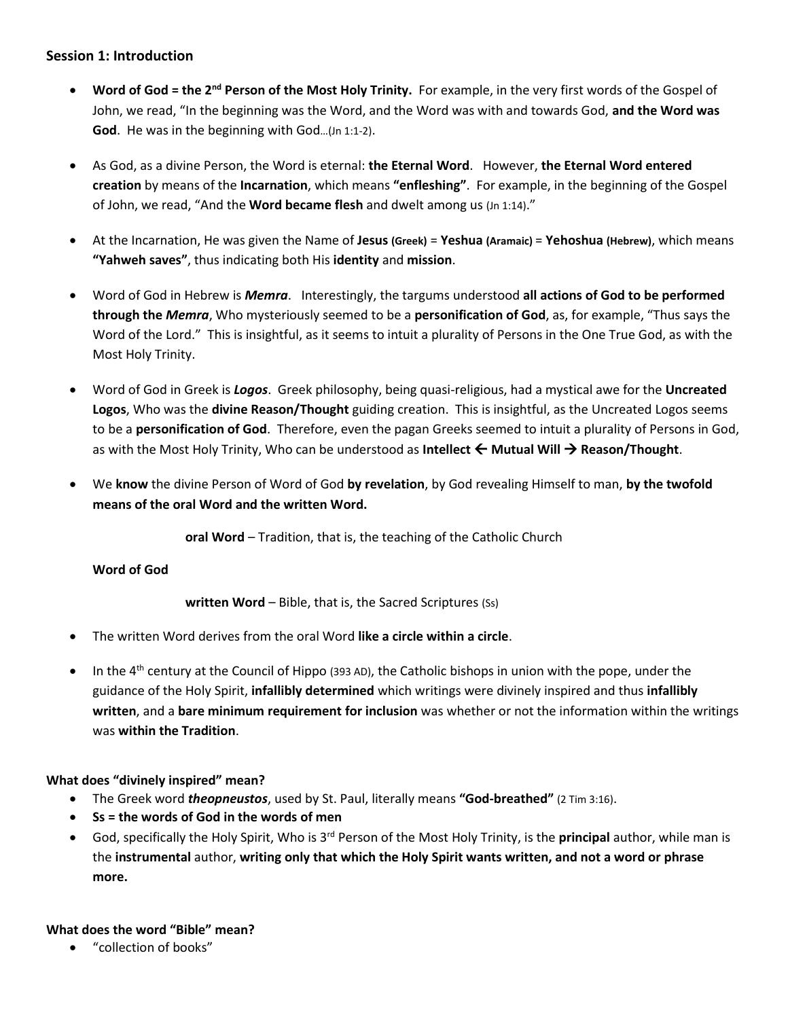# **Session 1: Introduction**

- **Word of God = the 2<sup>nd</sup> Person of the Most Holy Trinity. For example, in the very first words of the Gospel of** John, we read, "In the beginning was the Word, and the Word was with and towards God, **and the Word was God**. He was in the beginning with God…(Jn 1:1-2).
- As God, as a divine Person, the Word is eternal: **the Eternal Word**. However, **the Eternal Word entered creation** by means of the **Incarnation**, which means **"enfleshing"**. For example, in the beginning of the Gospel of John, we read, "And the **Word became flesh** and dwelt among us (Jn 1:14)."
- At the Incarnation, He was given the Name of **Jesus (Greek)** = **Yeshua (Aramaic)** = **Yehoshua (Hebrew)**, which means **"Yahweh saves"**, thus indicating both His **identity** and **mission**.
- Word of God in Hebrew is *Memra*. Interestingly, the targums understood **all actions of God to be performed through the** *Memra*, Who mysteriously seemed to be a **personification of God**, as, for example, "Thus says the Word of the Lord." This is insightful, as it seems to intuit a plurality of Persons in the One True God, as with the Most Holy Trinity.
- Word of God in Greek is *Logos*. Greek philosophy, being quasi-religious, had a mystical awe for the **Uncreated Logos**, Who was the **divine Reason/Thought** guiding creation. This is insightful, as the Uncreated Logos seems to be a **personification of God**. Therefore, even the pagan Greeks seemed to intuit a plurality of Persons in God, as with the Most Holy Trinity, Who can be understood as **Intellect ← Mutual Will → Reason/Thought**.
- We **know** the divine Person of Word of God **by revelation**, by God revealing Himself to man, **by the twofold means of the oral Word and the written Word.**

**oral Word** – Tradition, that is, the teaching of the Catholic Church

## **Word of God**

**written Word** – Bible, that is, the Sacred Scriptures (Ss)

- The written Word derives from the oral Word **like a circle within a circle**.
- In the  $4<sup>th</sup>$  century at the Council of Hippo (393 AD), the Catholic bishops in union with the pope, under the guidance of the Holy Spirit, **infallibly determined** which writings were divinely inspired and thus **infallibly written**, and a **bare minimum requirement for inclusion** was whether or not the information within the writings was **within the Tradition**.

## **What does "divinely inspired" mean?**

- The Greek word *theopneustos*, used by St. Paul, literally means **"God-breathed"** (2 Tim 3:16).
- **Ss = the words of God in the words of men**
- God, specifically the Holy Spirit, Who is 3<sup>rd</sup> Person of the Most Holy Trinity, is the **principal** author, while man is the **instrumental** author, **writing only that which the Holy Spirit wants written, and not a word or phrase more.**

## **What does the word "Bible" mean?**

• "collection of books"